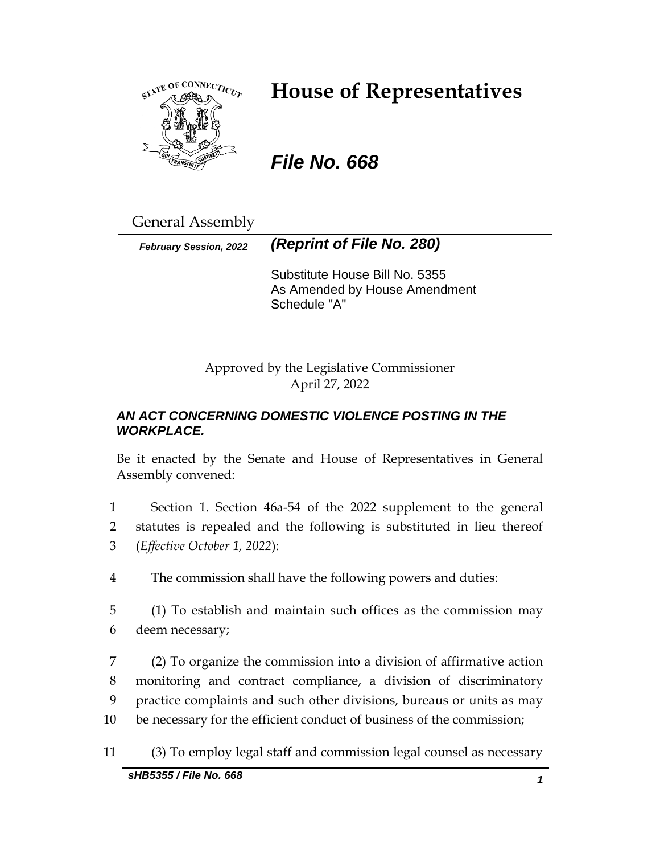

# **House of Representatives**

# *File No. 668*

General Assembly

*February Session, 2022 (Reprint of File No. 280)*

Substitute House Bill No. 5355 As Amended by House Amendment Schedule "A"

Approved by the Legislative Commissioner April 27, 2022

## *AN ACT CONCERNING DOMESTIC VIOLENCE POSTING IN THE WORKPLACE.*

Be it enacted by the Senate and House of Representatives in General Assembly convened:

1 Section 1. Section 46a-54 of the 2022 supplement to the general 2 statutes is repealed and the following is substituted in lieu thereof 3 (*Effective October 1, 2022*):

4 The commission shall have the following powers and duties:

5 (1) To establish and maintain such offices as the commission may 6 deem necessary;

 (2) To organize the commission into a division of affirmative action monitoring and contract compliance, a division of discriminatory practice complaints and such other divisions, bureaus or units as may be necessary for the efficient conduct of business of the commission;

11 (3) To employ legal staff and commission legal counsel as necessary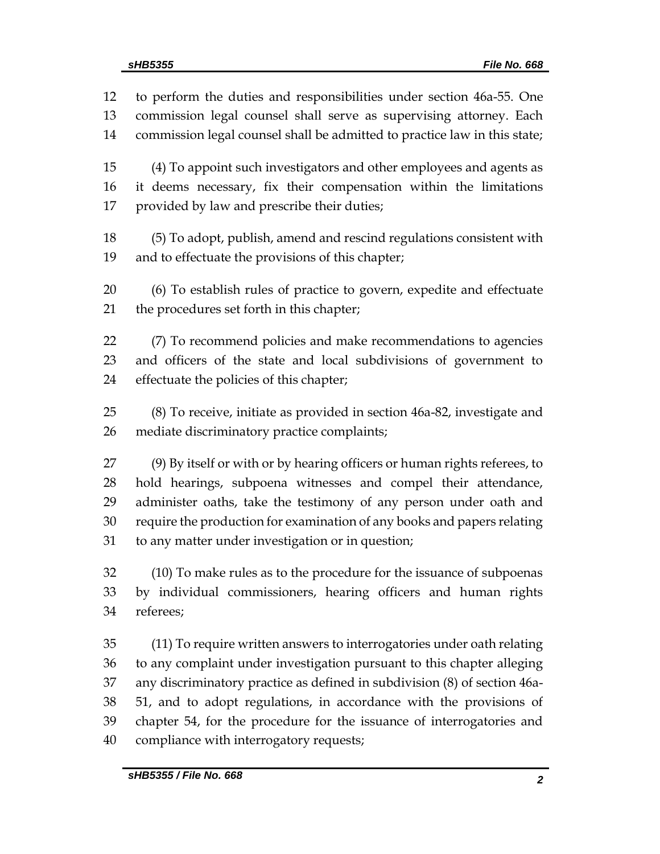to perform the duties and responsibilities under section 46a-55. One commission legal counsel shall serve as supervising attorney. Each commission legal counsel shall be admitted to practice law in this state; (4) To appoint such investigators and other employees and agents as it deems necessary, fix their compensation within the limitations provided by law and prescribe their duties; (5) To adopt, publish, amend and rescind regulations consistent with and to effectuate the provisions of this chapter; (6) To establish rules of practice to govern, expedite and effectuate the procedures set forth in this chapter; (7) To recommend policies and make recommendations to agencies and officers of the state and local subdivisions of government to effectuate the policies of this chapter; (8) To receive, initiate as provided in section 46a-82, investigate and mediate discriminatory practice complaints; (9) By itself or with or by hearing officers or human rights referees, to hold hearings, subpoena witnesses and compel their attendance, administer oaths, take the testimony of any person under oath and require the production for examination of any books and papers relating to any matter under investigation or in question; (10) To make rules as to the procedure for the issuance of subpoenas by individual commissioners, hearing officers and human rights referees; (11) To require written answers to interrogatories under oath relating to any complaint under investigation pursuant to this chapter alleging any discriminatory practice as defined in subdivision (8) of section 46a- 51, and to adopt regulations, in accordance with the provisions of chapter 54, for the procedure for the issuance of interrogatories and compliance with interrogatory requests;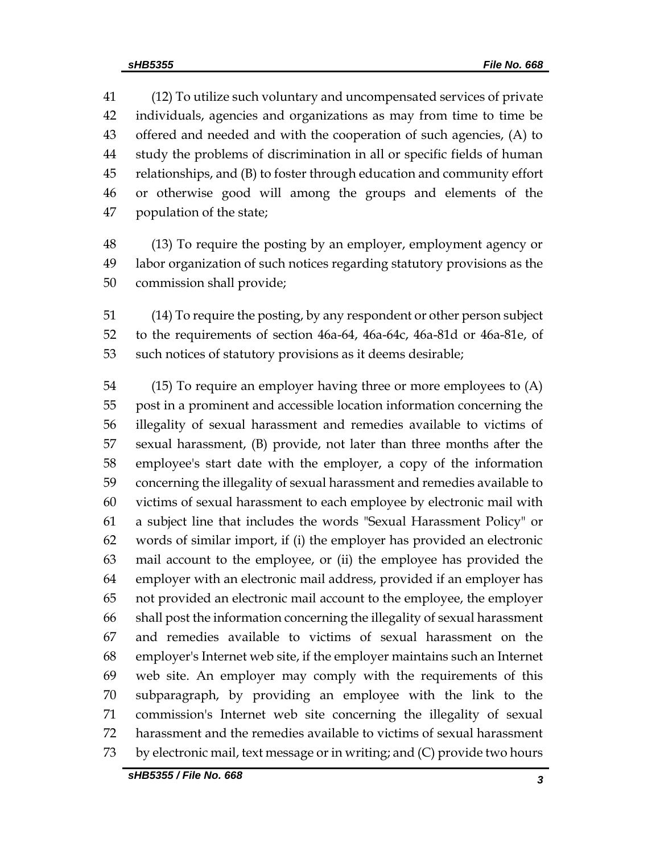(12) To utilize such voluntary and uncompensated services of private individuals, agencies and organizations as may from time to time be offered and needed and with the cooperation of such agencies, (A) to study the problems of discrimination in all or specific fields of human relationships, and (B) to foster through education and community effort or otherwise good will among the groups and elements of the population of the state;

 (13) To require the posting by an employer, employment agency or labor organization of such notices regarding statutory provisions as the commission shall provide;

 (14) To require the posting, by any respondent or other person subject to the requirements of section 46a-64, 46a-64c, 46a-81d or 46a-81e, of such notices of statutory provisions as it deems desirable;

 (15) To require an employer having three or more employees to (A) post in a prominent and accessible location information concerning the illegality of sexual harassment and remedies available to victims of sexual harassment, (B) provide, not later than three months after the employee's start date with the employer, a copy of the information concerning the illegality of sexual harassment and remedies available to victims of sexual harassment to each employee by electronic mail with a subject line that includes the words "Sexual Harassment Policy" or words of similar import, if (i) the employer has provided an electronic mail account to the employee, or (ii) the employee has provided the employer with an electronic mail address, provided if an employer has not provided an electronic mail account to the employee, the employer shall post the information concerning the illegality of sexual harassment and remedies available to victims of sexual harassment on the employer's Internet web site, if the employer maintains such an Internet web site. An employer may comply with the requirements of this subparagraph, by providing an employee with the link to the commission's Internet web site concerning the illegality of sexual harassment and the remedies available to victims of sexual harassment by electronic mail, text message or in writing; and (C) provide two hours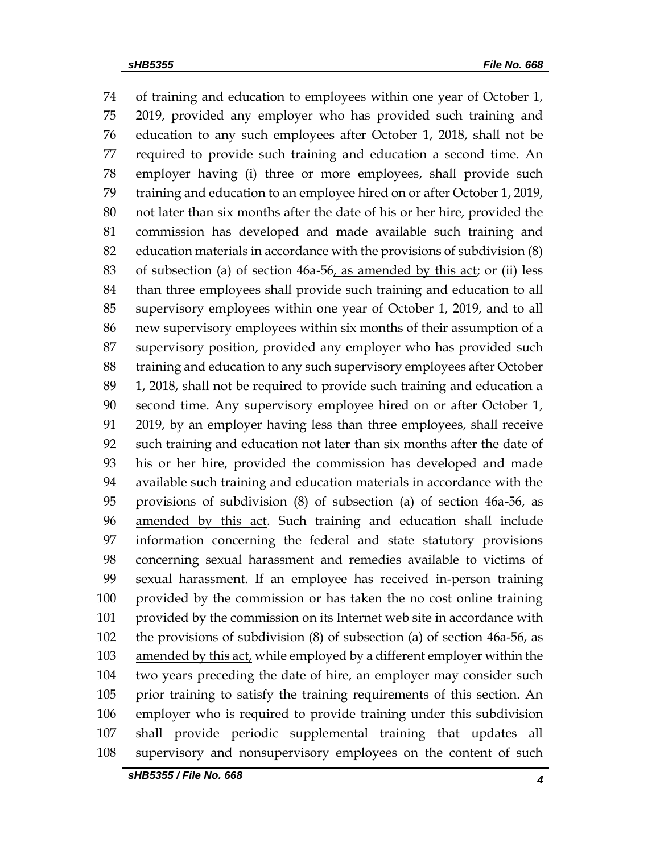of training and education to employees within one year of October 1, 2019, provided any employer who has provided such training and education to any such employees after October 1, 2018, shall not be required to provide such training and education a second time. An employer having (i) three or more employees, shall provide such training and education to an employee hired on or after October 1, 2019, not later than six months after the date of his or her hire, provided the commission has developed and made available such training and education materials in accordance with the provisions of subdivision (8) 83 of subsection (a) of section  $46a-56$ , as amended by this act; or (ii) less than three employees shall provide such training and education to all supervisory employees within one year of October 1, 2019, and to all new supervisory employees within six months of their assumption of a supervisory position, provided any employer who has provided such training and education to any such supervisory employees after October 1, 2018, shall not be required to provide such training and education a second time. Any supervisory employee hired on or after October 1, 2019, by an employer having less than three employees, shall receive such training and education not later than six months after the date of his or her hire, provided the commission has developed and made available such training and education materials in accordance with the provisions of subdivision (8) of subsection (a) of section 46a-56, as amended by this act. Such training and education shall include information concerning the federal and state statutory provisions concerning sexual harassment and remedies available to victims of sexual harassment. If an employee has received in-person training provided by the commission or has taken the no cost online training provided by the commission on its Internet web site in accordance with the provisions of subdivision (8) of subsection (a) of section 46a-56, as 103 amended by this act, while employed by a different employer within the two years preceding the date of hire, an employer may consider such prior training to satisfy the training requirements of this section. An employer who is required to provide training under this subdivision shall provide periodic supplemental training that updates all supervisory and nonsupervisory employees on the content of such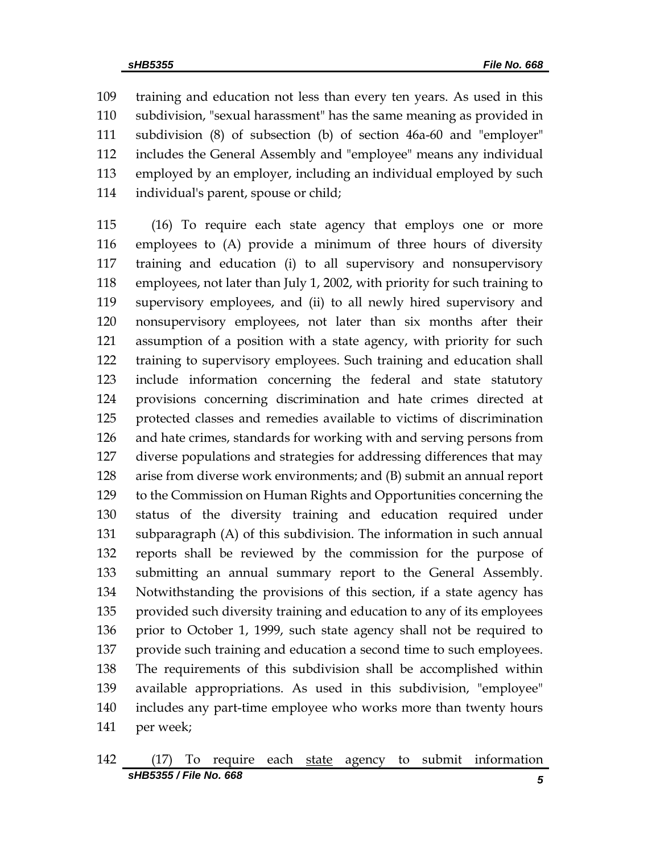training and education not less than every ten years. As used in this subdivision, "sexual harassment" has the same meaning as provided in subdivision (8) of subsection (b) of section 46a-60 and "employer" includes the General Assembly and "employee" means any individual employed by an employer, including an individual employed by such individual's parent, spouse or child;

 (16) To require each state agency that employs one or more employees to (A) provide a minimum of three hours of diversity training and education (i) to all supervisory and nonsupervisory employees, not later than July 1, 2002, with priority for such training to supervisory employees, and (ii) to all newly hired supervisory and nonsupervisory employees, not later than six months after their assumption of a position with a state agency, with priority for such training to supervisory employees. Such training and education shall include information concerning the federal and state statutory provisions concerning discrimination and hate crimes directed at protected classes and remedies available to victims of discrimination and hate crimes, standards for working with and serving persons from diverse populations and strategies for addressing differences that may arise from diverse work environments; and (B) submit an annual report to the Commission on Human Rights and Opportunities concerning the status of the diversity training and education required under subparagraph (A) of this subdivision. The information in such annual reports shall be reviewed by the commission for the purpose of submitting an annual summary report to the General Assembly. Notwithstanding the provisions of this section, if a state agency has provided such diversity training and education to any of its employees prior to October 1, 1999, such state agency shall not be required to provide such training and education a second time to such employees. The requirements of this subdivision shall be accomplished within available appropriations. As used in this subdivision, "employee" includes any part-time employee who works more than twenty hours per week;

*sHB5355 / File No. 668 5* (17) To require each state agency to submit information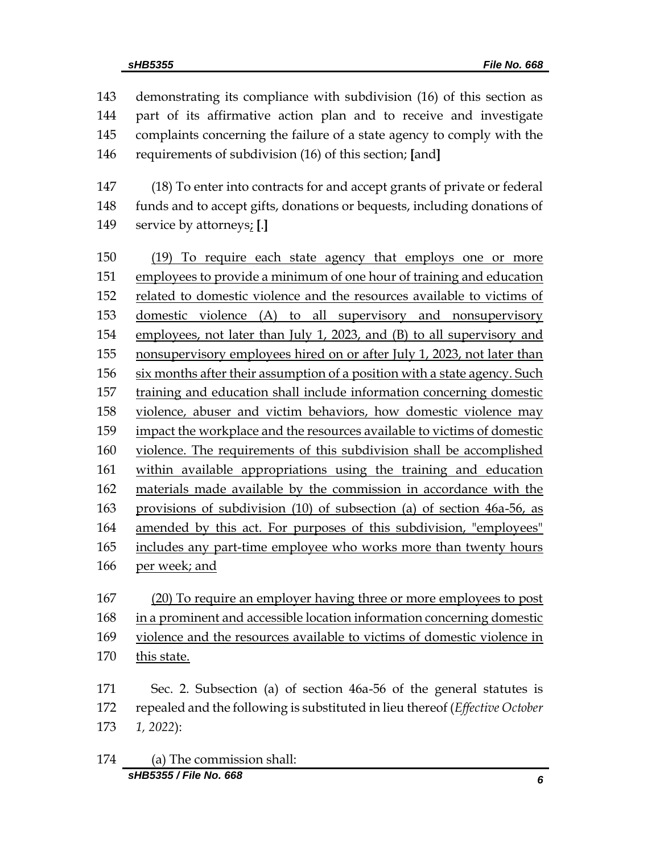demonstrating its compliance with subdivision (16) of this section as part of its affirmative action plan and to receive and investigate complaints concerning the failure of a state agency to comply with the requirements of subdivision (16) of this section; **[**and**]**

 (18) To enter into contracts for and accept grants of private or federal funds and to accept gifts, donations or bequests, including donations of service by attorneys; **[**.**]**

 (19) To require each state agency that employs one or more employees to provide a minimum of one hour of training and education 152 related to domestic violence and the resources available to victims of domestic violence (A) to all supervisory and nonsupervisory employees, not later than July 1, 2023, and (B) to all supervisory and nonsupervisory employees hired on or after July 1, 2023, not later than 156 six months after their assumption of a position with a state agency. Such training and education shall include information concerning domestic violence, abuser and victim behaviors, how domestic violence may impact the workplace and the resources available to victims of domestic violence. The requirements of this subdivision shall be accomplished within available appropriations using the training and education materials made available by the commission in accordance with the provisions of subdivision (10) of subsection (a) of section 46a-56, as amended by this act. For purposes of this subdivision, "employees" 165 includes any part-time employee who works more than twenty hours per week; and

 (20) To require an employer having three or more employees to post 168 in a prominent and accessible location information concerning domestic violence and the resources available to victims of domestic violence in this state.

 Sec. 2. Subsection (a) of section 46a-56 of the general statutes is repealed and the following is substituted in lieu thereof (*Effective October 1, 2022*):

*sHB5355 / File No. 668 6* (a) The commission shall: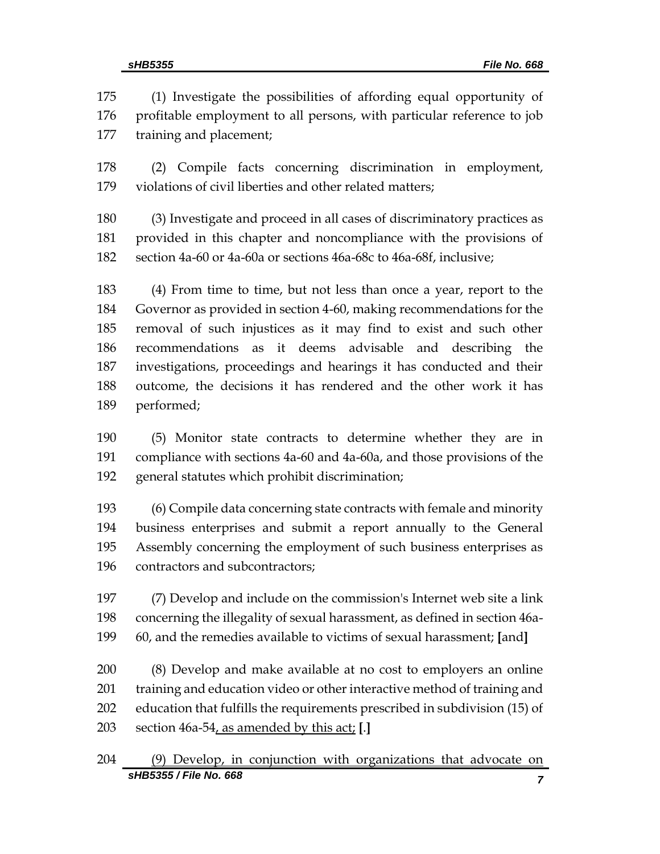(1) Investigate the possibilities of affording equal opportunity of 176 profitable employment to all persons, with particular reference to job training and placement;

 (2) Compile facts concerning discrimination in employment, violations of civil liberties and other related matters;

 (3) Investigate and proceed in all cases of discriminatory practices as provided in this chapter and noncompliance with the provisions of section 4a-60 or 4a-60a or sections 46a-68c to 46a-68f, inclusive;

 (4) From time to time, but not less than once a year, report to the Governor as provided in section 4-60, making recommendations for the removal of such injustices as it may find to exist and such other recommendations as it deems advisable and describing the investigations, proceedings and hearings it has conducted and their outcome, the decisions it has rendered and the other work it has performed;

 (5) Monitor state contracts to determine whether they are in compliance with sections 4a-60 and 4a-60a, and those provisions of the general statutes which prohibit discrimination;

 (6) Compile data concerning state contracts with female and minority business enterprises and submit a report annually to the General Assembly concerning the employment of such business enterprises as contractors and subcontractors;

 (7) Develop and include on the commission's Internet web site a link concerning the illegality of sexual harassment, as defined in section 46a-60, and the remedies available to victims of sexual harassment; **[**and**]**

 (8) Develop and make available at no cost to employers an online 201 training and education video or other interactive method of training and education that fulfills the requirements prescribed in subdivision (15) of section 46a-54, as amended by this act; **[**.**]**

```
sHB5355 / File No. 668 7
204 (9) Develop, in conjunction with organizations that advocate on
```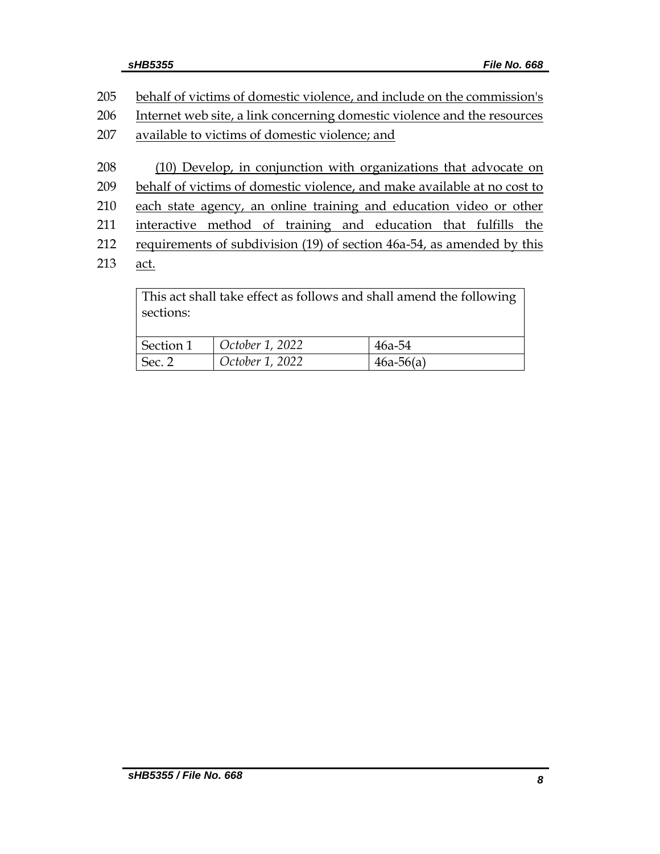| 205 | behalf of victims of domestic violence, and include on the commission's          |  |  |
|-----|----------------------------------------------------------------------------------|--|--|
| 206 | Internet web site, a link concerning domestic violence and the resources         |  |  |
| 207 | available to victims of domestic violence; and                                   |  |  |
| 208 | (10) Develop, in conjunction with organizations that advocate on                 |  |  |
| 209 | behalf of victims of domestic violence, and make available at no cost to         |  |  |
| 210 | each state agency, an online training and education video or other               |  |  |
| 211 | method of training and education that fulfills the<br>interactive                |  |  |
| 212 | requirements of subdivision (19) of section 46a-54, as amended by this           |  |  |
| 213 | act.                                                                             |  |  |
|     | This act shall take effect as follows and shall amend the following<br>sections: |  |  |

| Section 1      | October 1, 2022 | $46a-54$    |
|----------------|-----------------|-------------|
| $\vert$ Sec. 2 | October 1, 2022 | $46a-56(a)$ |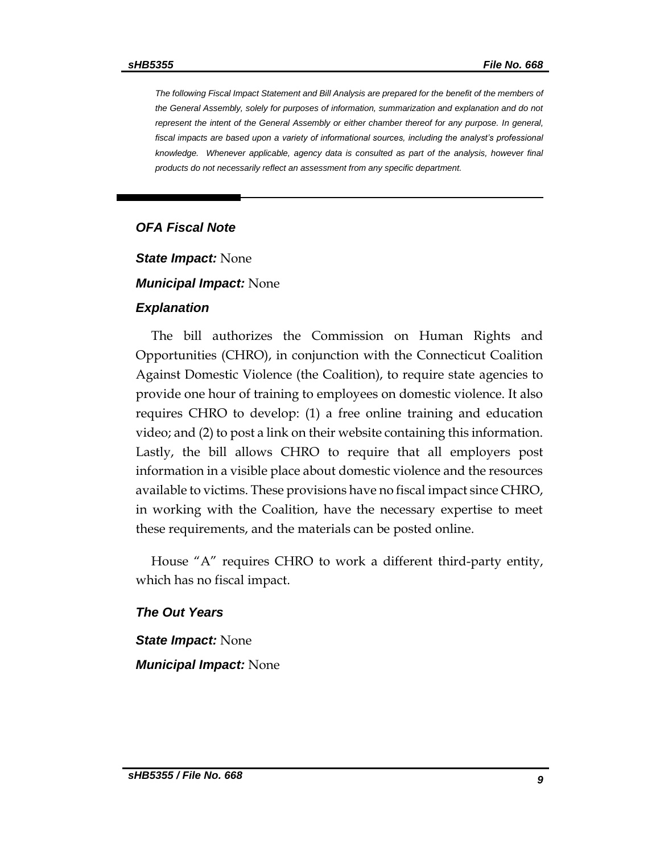*The following Fiscal Impact Statement and Bill Analysis are prepared for the benefit of the members of the General Assembly, solely for purposes of information, summarization and explanation and do not represent the intent of the General Assembly or either chamber thereof for any purpose. In general, fiscal impacts are based upon a variety of informational sources, including the analyst's professional knowledge. Whenever applicable, agency data is consulted as part of the analysis, however final products do not necessarily reflect an assessment from any specific department.*

#### *OFA Fiscal Note*

*State Impact:* None

#### *Municipal Impact:* None

#### *Explanation*

The bill authorizes the Commission on Human Rights and Opportunities (CHRO), in conjunction with the Connecticut Coalition Against Domestic Violence (the Coalition), to require state agencies to provide one hour of training to employees on domestic violence. It also requires CHRO to develop: (1) a free online training and education video; and (2) to post a link on their website containing this information. Lastly, the bill allows CHRO to require that all employers post information in a visible place about domestic violence and the resources available to victims. These provisions have no fiscal impact since CHRO, in working with the Coalition, have the necessary expertise to meet these requirements, and the materials can be posted online.

House "A" requires CHRO to work a different third-party entity, which has no fiscal impact.

#### *The Out Years*

*State Impact:* None *Municipal Impact:* None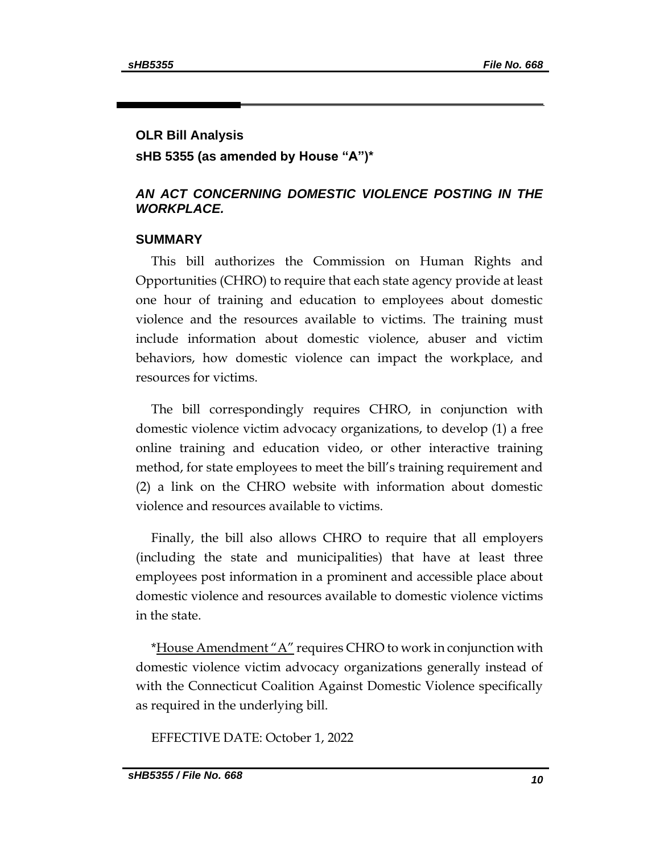# **OLR Bill Analysis sHB 5355 (as amended by House "A")\***

### *AN ACT CONCERNING DOMESTIC VIOLENCE POSTING IN THE WORKPLACE.*

#### **SUMMARY**

This bill authorizes the Commission on Human Rights and Opportunities (CHRO) to require that each state agency provide at least one hour of training and education to employees about domestic violence and the resources available to victims. The training must include information about domestic violence, abuser and victim behaviors, how domestic violence can impact the workplace, and resources for victims.

The bill correspondingly requires CHRO, in conjunction with domestic violence victim advocacy organizations, to develop (1) a free online training and education video, or other interactive training method, for state employees to meet the bill's training requirement and (2) a link on the CHRO website with information about domestic violence and resources available to victims.

Finally, the bill also allows CHRO to require that all employers (including the state and municipalities) that have at least three employees post information in a prominent and accessible place about domestic violence and resources available to domestic violence victims in the state.

\*House Amendment "A" requires CHRO to work in conjunction with domestic violence victim advocacy organizations generally instead of with the Connecticut Coalition Against Domestic Violence specifically as required in the underlying bill.

EFFECTIVE DATE: October 1, 2022